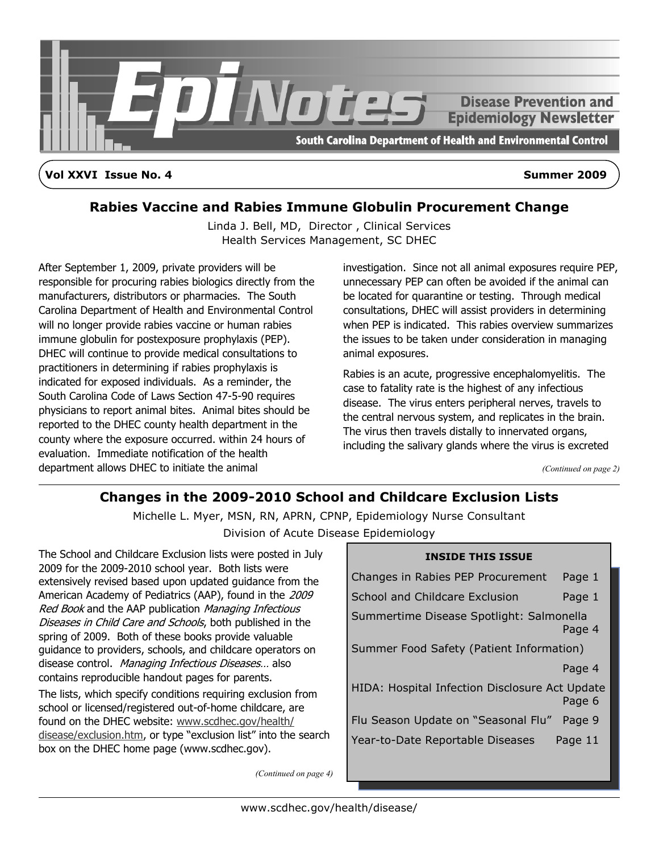

**Vol XXVI Issue No. 4 Summer 2009**

# **Rabies Vaccine and Rabies Immune Globulin Procurement Change**

Linda J. Bell, MD, Director , Clinical Services Health Services Management, SC DHEC

After September 1, 2009, private providers will be responsible for procuring rabies biologics directly from the manufacturers, distributors or pharmacies. The South Carolina Department of Health and Environmental Control will no longer provide rabies vaccine or human rabies immune globulin for postexposure prophylaxis (PEP). DHEC will continue to provide medical consultations to practitioners in determining if rabies prophylaxis is indicated for exposed individuals. As a reminder, the South Carolina Code of Laws Section 47-5-90 requires physicians to report animal bites. Animal bites should be reported to the DHEC county health department in the county where the exposure occurred. within 24 hours of evaluation. Immediate notification of the health department allows DHEC to initiate the animal

investigation. Since not all animal exposures require PEP, unnecessary PEP can often be avoided if the animal can be located for quarantine or testing. Through medical consultations, DHEC will assist providers in determining when PEP is indicated. This rabies overview summarizes the issues to be taken under consideration in managing animal exposures.

Rabies is an acute, progressive encephalomyelitis. The case to fatality rate is the highest of any infectious disease. The virus enters peripheral nerves, travels to the central nervous system, and replicates in the brain. The virus then travels distally to innervated organs, including the salivary glands where the virus is excreted

*(Continued on page 2)*

# **Changes in the 2009-2010 School and Childcare Exclusion Lists**

Michelle L. Myer, MSN, RN, APRN, CPNP, Epidemiology Nurse Consultant Division of Acute Disease Epidemiology

The School and Childcare Exclusion lists were posted in July 2009 for the 2009-2010 school year. Both lists were extensively revised based upon updated guidance from the American Academy of Pediatrics (AAP), found in the 2009 Red Book and the AAP publication Managing Infectious Diseases in Child Care and Schools, both published in the spring of 2009. Both of these books provide valuable guidance to providers, schools, and childcare operators on disease control. Managing Infectious Diseases... also contains reproducible handout pages for parents.

The lists, which specify conditions requiring exclusion from school or licensed/registered out-of-home childcare, are found on the DHEC website: www.scdhec.gov/health/ disease/exclusion.htm, or type "exclusion list" into the search box on the DHEC home page (www.scdhec.gov).

Changes in Rabies PEP Procurement Page 1

**INSIDE THIS ISSUE**

School and Childcare Exclusion Page 1 Summertime Disease Spotlight: Salmonella Page 4 Summer Food Safety (Patient Information) Page 4 HIDA: Hospital Infection Disclosure Act Update Page 6 Flu Season Update on "Seasonal Flu" Page 9 Year-to-Date Reportable Diseases Page 11

*(Continued on page 4)*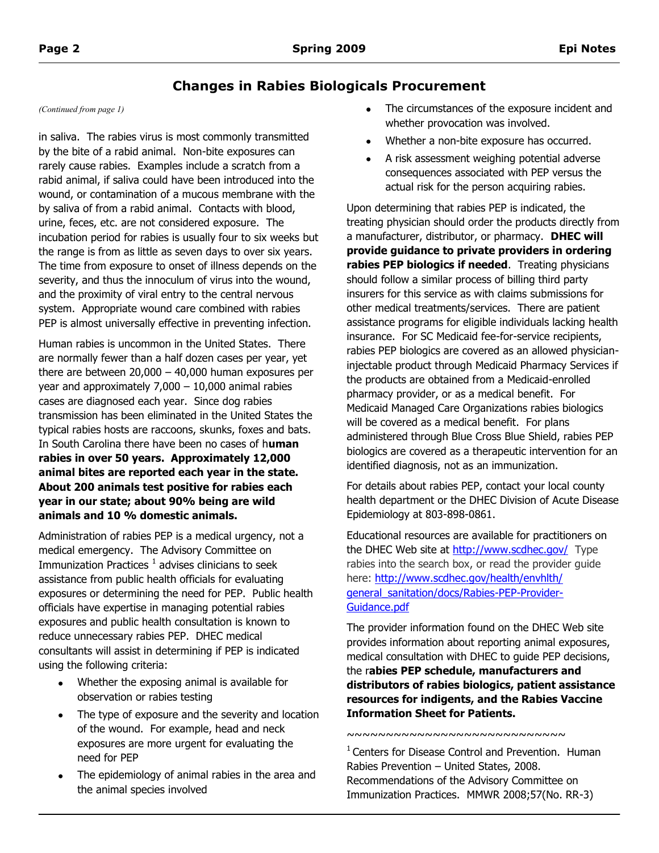# **Changes in Rabies Biologicals Procurement**

in saliva. The rabies virus is most commonly transmitted by the bite of a rabid animal. Non-bite exposures can rarely cause rabies. Examples include a scratch from a rabid animal, if saliva could have been introduced into the wound, or contamination of a mucous membrane with the by saliva of from a rabid animal. Contacts with blood, urine, feces, etc. are not considered exposure. The incubation period for rabies is usually four to six weeks but the range is from as little as seven days to over six years. The time from exposure to onset of illness depends on the severity, and thus the innoculum of virus into the wound, and the proximity of viral entry to the central nervous system. Appropriate wound care combined with rabies PEP is almost universally effective in preventing infection.

Human rabies is uncommon in the United States. There are normally fewer than a half dozen cases per year, yet there are between  $20,000 - 40,000$  human exposures per year and approximately  $7,000 - 10,000$  animal rabies cases are diagnosed each year. Since dog rabies transmission has been eliminated in the United States the typical rabies hosts are raccoons, skunks, foxes and bats. In South Carolina there have been no cases of h**uman rabies in over 50 years. Approximately 12,000 animal bites are reported each year in the state. About 200 animals test positive for rabies each year in our state; about 90% being are wild animals and 10 % domestic animals.**

Administration of rabies PEP is a medical urgency, not a medical emergency. The Advisory Committee on Immunization Practices  $^1$  advises clinicians to seek assistance from public health officials for evaluating exposures or determining the need for PEP. Public health officials have expertise in managing potential rabies exposures and public health consultation is known to reduce unnecessary rabies PEP. DHEC medical consultants will assist in determining if PEP is indicated using the following criteria:

- $\bullet$ Whether the exposing animal is available for observation or rabies testing
- The type of exposure and the severity and location of the wound. For example, head and neck exposures are more urgent for evaluating the need for PEP
- The epidemiology of animal rabies in the area and the animal species involved
- *(Continued from page 1)* The circumstances of the exposure incident and whether provocation was involved.
	- Whether a non-bite exposure has occurred.
	- A risk assessment weighing potential adverse  $\bullet$ consequences associated with PEP versus the actual risk for the person acquiring rabies.

Upon determining that rabies PEP is indicated, the treating physician should order the products directly from a manufacturer, distributor, or pharmacy. **DHEC will provide guidance to private providers in ordering rabies PEP biologics if needed**. Treating physicians should follow a similar process of billing third party insurers for this service as with claims submissions for other medical treatments/services. There are patient assistance programs for eligible individuals lacking health insurance. For SC Medicaid fee-for-service recipients, rabies PEP biologics are covered as an allowed physicianinjectable product through Medicaid Pharmacy Services if the products are obtained from a Medicaid-enrolled pharmacy provider, or as a medical benefit. For Medicaid Managed Care Organizations rabies biologics will be covered as a medical benefit. For plans administered through Blue Cross Blue Shield, rabies PEP biologics are covered as a therapeutic intervention for an identified diagnosis, not as an immunization.

For details about rabies PEP, contact your local county health department or the DHEC Division of Acute Disease Epidemiology at 803-898-0861.

Educational resources are available for practitioners on the DHEC Web site at <http://www.scdhec.gov/> Type rabies into the search box, or read the provider guide here: [http://www.scdhec.gov/health/envhlth/](http://www.scdhec.gov/health/envhlth/general_sanitation/docs/Rabies-PEP-Provider-Guidance.pdf) [general\\_sanitation/docs/Rabies-PEP-Provider-](http://www.scdhec.gov/health/envhlth/general_sanitation/docs/Rabies-PEP-Provider-Guidance.pdf)[Guidance.pdf](http://www.scdhec.gov/health/envhlth/general_sanitation/docs/Rabies-PEP-Provider-Guidance.pdf)

The provider information found on the DHEC Web site provides information about reporting animal exposures, medical consultation with DHEC to guide PEP decisions, the r**abies PEP schedule, manufacturers and distributors of rabies biologics, patient assistance resources for indigents, and the Rabies Vaccine Information Sheet for Patients.**

~~~~~~~~~~~~~~~~~~~~~~~~~~~~

 $1$  Centers for Disease Control and Prevention. Human Rabies Prevention – United States, 2008. Recommendations of the Advisory Committee on Immunization Practices. MMWR 2008;57(No. RR-3)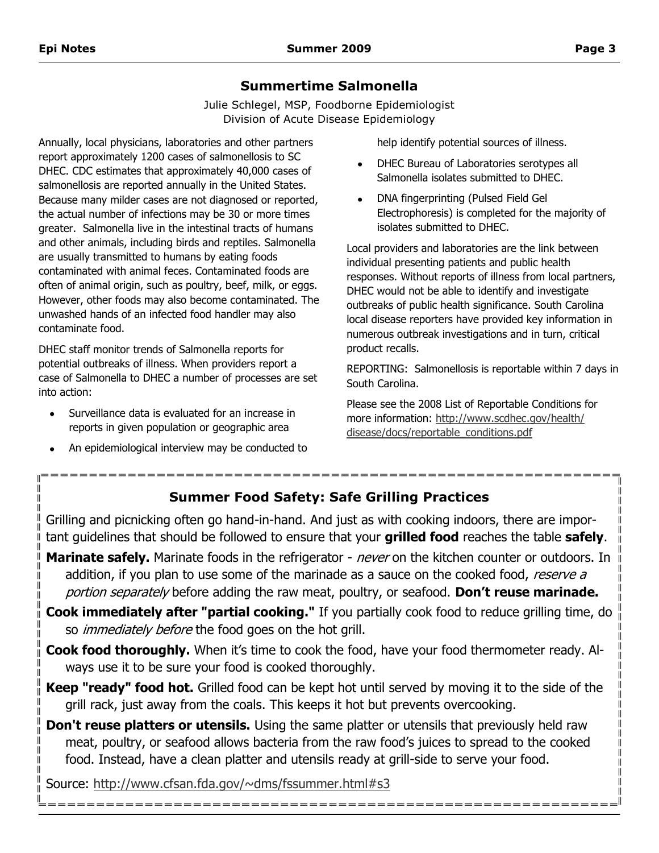Ш

# **Summertime Salmonella**

Julie Schlegel, MSP, Foodborne Epidemiologist Division of Acute Disease Epidemiology

Annually, local physicians, laboratories and other partners report approximately 1200 cases of salmonellosis to SC DHEC. CDC estimates that approximately 40,000 cases of salmonellosis are reported annually in the United States. Because many milder cases are not diagnosed or reported, the actual number of infections may be 30 or more times greater. Salmonella live in the intestinal tracts of humans and other animals, including birds and reptiles. Salmonella are usually transmitted to humans by eating foods contaminated with animal feces. Contaminated foods are often of animal origin, such as poultry, beef, milk, or eggs. However, other foods may also become contaminated. The unwashed hands of an infected food handler may also contaminate food.

DHEC staff monitor trends of Salmonella reports for potential outbreaks of illness. When providers report a case of Salmonella to DHEC a number of processes are set into action:

- Surveillance data is evaluated for an increase in reports in given population or geographic area
- An epidemiological interview may be conducted to

help identify potential sources of illness.

- DHEC Bureau of Laboratories serotypes all  $\bullet$ Salmonella isolates submitted to DHEC.
- DNA fingerprinting (Pulsed Field Gel Electrophoresis) is completed for the majority of isolates submitted to DHEC.

Local providers and laboratories are the link between individual presenting patients and public health responses. Without reports of illness from local partners, DHEC would not be able to identify and investigate outbreaks of public health significance. South Carolina local disease reporters have provided key information in numerous outbreak investigations and in turn, critical product recalls.

REPORTING: Salmonellosis is reportable within 7 days in South Carolina.

Please see the 2008 List of Reportable Conditions for more information: [http://www.scdhec.gov/health/](http://www.scdhec.gov/health/disease/docs/reportable_conditions.pdf) [disease/docs/reportable\\_conditions.pdf](http://www.scdhec.gov/health/disease/docs/reportable_conditions.pdf)

# **Summer Food Safety: Safe Grilling Practices**

Grilling and picnicking often go hand-in-hand. And just as with cooking indoors, there are important guidelines that should be followed to ensure that your **grilled food** reaches the table **safely**.

**Marinate safely.** Marinate foods in the refrigerator - *never* on the kitchen counter or outdoors. In addition, if you plan to use some of the marinade as a sauce on the cooked food, reserve a portion separately before adding the raw meat, poultry, or seafood. **Don't reuse marinade.**

- **Cook immediately after "partial cooking."** If you partially cook food to reduce grilling time, do so *immediately before* the food goes on the hot grill.
- **Cook food thoroughly.** When it's time to cook the food, have your food thermometer ready. Always use it to be sure your food is cooked thoroughly.
- **Keep "ready" food hot.** Grilled food can be kept hot until served by moving it to the side of the grill rack, just away from the coals. This keeps it hot but prevents overcooking.
- **Don't reuse platters or utensils.** Using the same platter or utensils that previously held raw meat, poultry, or seafood allows bacteria from the raw food's juices to spread to the cooked food. Instead, have a clean platter and utensils ready at grill-side to serve your food.

Source: <http://www.cfsan.fda.gov/~dms/fssummer.html#s3>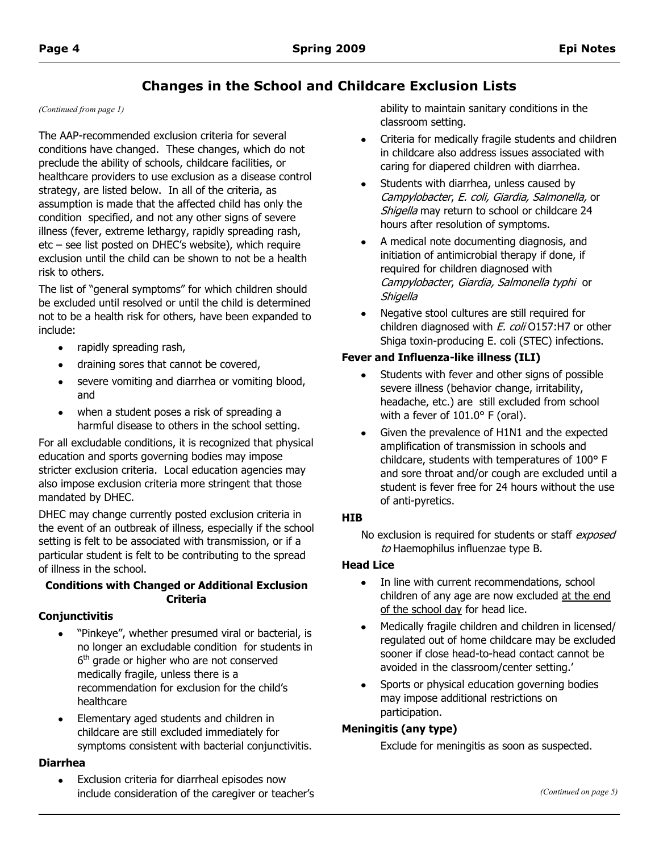# **Changes in the School and Childcare Exclusion Lists**

The AAP-recommended exclusion criteria for several conditions have changed. These changes, which do not preclude the ability of schools, childcare facilities, or healthcare providers to use exclusion as a disease control strategy, are listed below. In all of the criteria, as assumption is made that the affected child has only the condition specified, and not any other signs of severe illness (fever, extreme lethargy, rapidly spreading rash, etc – see list posted on DHEC's website), which require exclusion until the child can be shown to not be a health risk to others.

The list of "general symptoms" for which children should be excluded until resolved or until the child is determined not to be a health risk for others, have been expanded to include:

- $\bullet$ rapidly spreading rash,
- draining sores that cannot be covered,
- severe vomiting and diarrhea or vomiting blood,  $\bullet$ and
- when a student poses a risk of spreading a harmful disease to others in the school setting.

For all excludable conditions, it is recognized that physical education and sports governing bodies may impose stricter exclusion criteria. Local education agencies may also impose exclusion criteria more stringent that those mandated by DHEC.

DHEC may change currently posted exclusion criteria in the event of an outbreak of illness, especially if the school setting is felt to be associated with transmission, or if a particular student is felt to be contributing to the spread of illness in the school.

# **Conditions with Changed or Additional Exclusion Criteria**

# **Conjunctivitis**

- "Pinkeye", whether presumed viral or bacterial, is no longer an excludable condition for students in 6<sup>th</sup> grade or higher who are not conserved medically fragile, unless there is a recommendation for exclusion for the child's healthcare
- Elementary aged students and children in childcare are still excluded immediately for symptoms consistent with bacterial conjunctivitis.

#### **Diarrhea**

 $\bullet$ Exclusion criteria for diarrheal episodes now include consideration of the caregiver or teacher's

*(Continued from page 1)* ability to maintain sanitary conditions in the classroom setting.

- Criteria for medically fragile students and children in childcare also address issues associated with caring for diapered children with diarrhea.
- Students with diarrhea, unless caused by Campylobacter, E. coli, Giardia, Salmonella, or Shigella may return to school or childcare 24 hours after resolution of symptoms.
- A medical note documenting diagnosis, and initiation of antimicrobial therapy if done, if required for children diagnosed with Campylobacter, Giardia, Salmonella typhi or **Shigella**
- Negative stool cultures are still required for children diagnosed with  $E.$  coli O157:H7 or other Shiga toxin-producing E. coli (STEC) infections.

# **Fever and Influenza-like illness (ILI)**

- Students with fever and other signs of possible severe illness (behavior change, irritability, headache, etc.) are still excluded from school with a fever of 101.0° F (oral).
- Given the prevalence of H1N1 and the expected amplification of transmission in schools and childcare, students with temperatures of 100° F and sore throat and/or cough are excluded until a student is fever free for 24 hours without the use of anti-pyretics.

# **HIB**

No exclusion is required for students or staff exposed to Haemophilus influenzae type B.

# **Head Lice**

- In line with current recommendations, school children of any age are now excluded at the end of the school day for head lice.
- Medically fragile children and children in licensed/ regulated out of home childcare may be excluded sooner if close head-to-head contact cannot be avoided in the classroom/center setting.'
- Sports or physical education governing bodies may impose additional restrictions on participation.

# **Meningitis (any type)**

Exclude for meningitis as soon as suspected.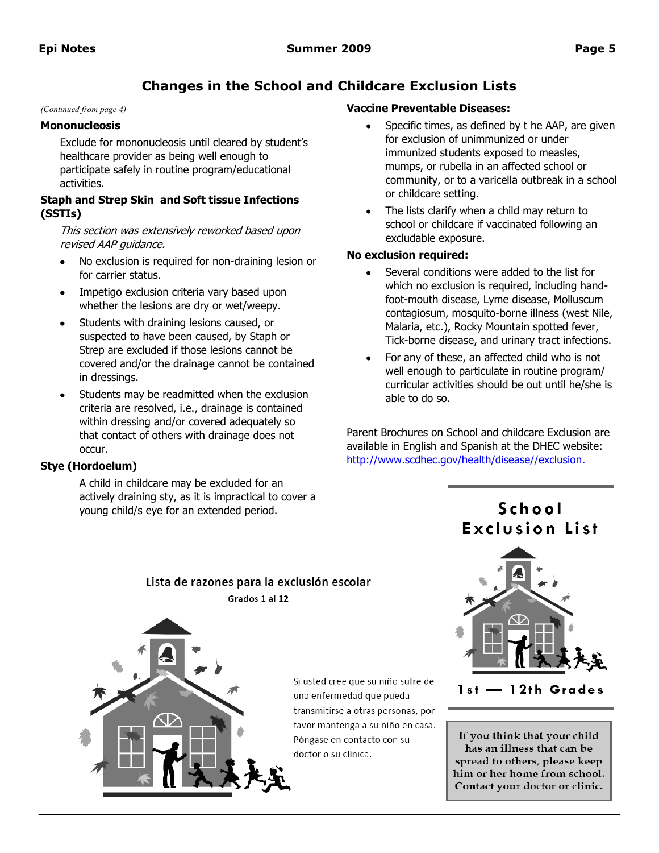# **Changes in the School and Childcare Exclusion Lists**

#### **Mononucleosis**

Exclude for mononucleosis until cleared by student's healthcare provider as being well enough to participate safely in routine program/educational activities.

#### **Staph and Strep Skin and Soft tissue Infections (SSTIs)**

This section was extensively reworked based upon revised AAP guidance.

- No exclusion is required for non-draining lesion or for carrier status.
- Impetigo exclusion criteria vary based upon whether the lesions are dry or wet/weepy.
- Students with draining lesions caused, or suspected to have been caused, by Staph or Strep are excluded if those lesions cannot be covered and/or the drainage cannot be contained in dressings.
- Students may be readmitted when the exclusion criteria are resolved, i.e., drainage is contained within dressing and/or covered adequately so that contact of others with drainage does not occur.

#### **Stye (Hordoelum)**

A child in childcare may be excluded for an actively draining sty, as it is impractical to cover a young child/s eye for an extended period.

Lista de razones para la exclusión escolar

#### *(Continued from page 4)* **Vaccine Preventable Diseases:**

- Specific times, as defined by t he AAP, are given for exclusion of unimmunized or under immunized students exposed to measles, mumps, or rubella in an affected school or community, or to a varicella outbreak in a school or childcare setting.
- The lists clarify when a child may return to school or childcare if vaccinated following an excludable exposure.

## **No exclusion required:**

- Several conditions were added to the list for which no exclusion is required, including handfoot-mouth disease, Lyme disease, Molluscum contagiosum, mosquito-borne illness (west Nile, Malaria, etc.), Rocky Mountain spotted fever, Tick-borne disease, and urinary tract infections.
- For any of these, an affected child who is not well enough to particulate in routine program/ curricular activities should be out until he/she is able to do so.

Parent Brochures on School and childcare Exclusion are available in English and Spanish at the DHEC website: [http://www.scdhec.gov/health/disease//exclusion.](http://www.scdhec.gov/health/disease/exclusion)

# School **Exclusion List**



Si usted cree que su niño sufre de una enfermedad que pueda transmitirse a otras personas, por favor mantenga a su niño en casa. Póngase en contacto con su doctor o su clínica.



1st - 12th Grades

If you think that your child has an illness that can be spread to others, please keep him or her home from school. Contact your doctor or clinic.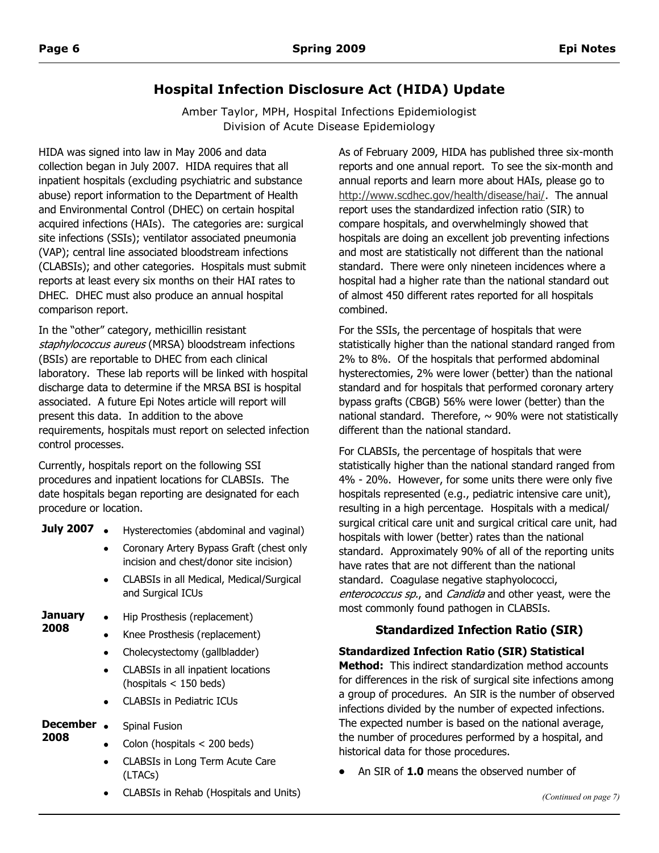# **Hospital Infection Disclosure Act (HIDA) Update**

Amber Taylor, MPH, Hospital Infections Epidemiologist Division of Acute Disease Epidemiology

HIDA was signed into law in May 2006 and data collection began in July 2007. HIDA requires that all inpatient hospitals (excluding psychiatric and substance abuse) report information to the Department of Health and Environmental Control (DHEC) on certain hospital acquired infections (HAIs). The categories are: surgical site infections (SSIs); ventilator associated pneumonia (VAP); central line associated bloodstream infections (CLABSIs); and other categories. Hospitals must submit reports at least every six months on their HAI rates to DHEC. DHEC must also produce an annual hospital comparison report.

In the "other" category, methicillin resistant staphylococcus aureus (MRSA) bloodstream infections (BSIs) are reportable to DHEC from each clinical laboratory. These lab reports will be linked with hospital discharge data to determine if the MRSA BSI is hospital associated. A future Epi Notes article will report will present this data. In addition to the above requirements, hospitals must report on selected infection control processes.

Currently, hospitals report on the following SSI procedures and inpatient locations for CLABSIs. The date hospitals began reporting are designated for each procedure or location.

- **July 2007** Hysterectomies (abdominal and vaginal)
	- Coronary Artery Bypass Graft (chest only incision and chest/donor site incision)
	- CLABSIs in all Medical, Medical/Surgical and Surgical ICUs
- **January**  Hip Prosthesis (replacement)
- **2008**
- Knee Prosthesis (replacement)
	- Cholecystectomy (gallbladder)  $\bullet$
	- CLABSIs in all inpatient locations (hospitals < 150 beds)
	- CLABSIs in Pediatric ICUs

#### **December**  Spinal Fusion

- **2008**
- Colon (hospitals < 200 beds)
- CLABSIs in Long Term Acute Care (LTACs)
- CLABSIs in Rehab (Hospitals and Units)

As of February 2009, HIDA has published three six-month reports and one annual report. To see the six-month and annual reports and learn more about HAIs, please go to [http://www.scdhec.gov/health/disease/hai/.](http://www.scdhec.gov/health/disease/hai/) The annual report uses the standardized infection ratio (SIR) to compare hospitals, and overwhelmingly showed that hospitals are doing an excellent job preventing infections and most are statistically not different than the national standard. There were only nineteen incidences where a hospital had a higher rate than the national standard out of almost 450 different rates reported for all hospitals combined.

For the SSIs, the percentage of hospitals that were statistically higher than the national standard ranged from 2% to 8%. Of the hospitals that performed abdominal hysterectomies, 2% were lower (better) than the national standard and for hospitals that performed coronary artery bypass grafts (CBGB) 56% were lower (better) than the national standard. Therefore,  $\sim$  90% were not statistically different than the national standard.

For CLABSIs, the percentage of hospitals that were statistically higher than the national standard ranged from 4% - 20%. However, for some units there were only five hospitals represented (e.g., pediatric intensive care unit), resulting in a high percentage. Hospitals with a medical/ surgical critical care unit and surgical critical care unit, had hospitals with lower (better) rates than the national standard. Approximately 90% of all of the reporting units have rates that are not different than the national standard. Coagulase negative staphyolococci, enterococcus sp., and Candida and other yeast, were the most commonly found pathogen in CLABSIs.

# **Standardized Infection Ratio (SIR)**

# **Standardized Infection Ratio (SIR) Statistical**

**Method:** This indirect standardization method accounts for differences in the risk of surgical site infections among a group of procedures. An SIR is the number of observed infections divided by the number of expected infections. The expected number is based on the national average, the number of procedures performed by a hospital, and historical data for those procedures.

An SIR of **1.0** means the observed number of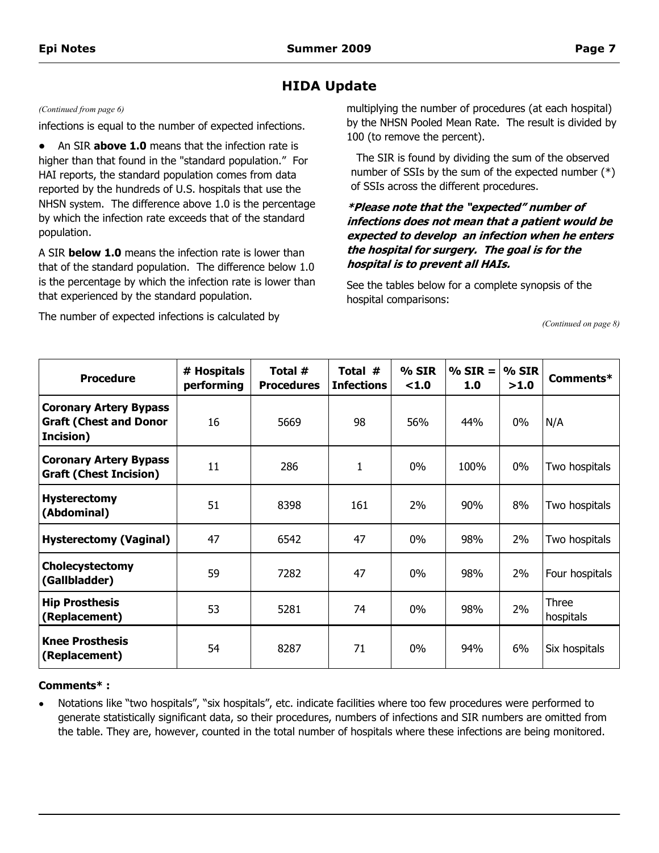# **HIDA Update**

#### *(Continued from page 6)*

infections is equal to the number of expected infections.

An SIR **above 1.0** means that the infection rate is  $\bullet$ higher than that found in the "standard population." For HAI reports, the standard population comes from data reported by the hundreds of U.S. hospitals that use the NHSN system. The difference above 1.0 is the percentage by which the infection rate exceeds that of the standard population.

A SIR **below 1.0** means the infection rate is lower than that of the standard population. The difference below 1.0 is the percentage by which the infection rate is lower than that experienced by the standard population.

The number of expected infections is calculated by

multiplying the number of procedures (at each hospital) by the NHSN Pooled Mean Rate. The result is divided by 100 (to remove the percent).

The SIR is found by dividing the sum of the observed number of SSIs by the sum of the expected number (\*) of SSIs across the different procedures.

## **\*Please note that the "expected" number of infections does not mean that a patient would be expected to develop an infection when he enters the hospital for surgery. The goal is for the hospital is to prevent all HAIs.**

See the tables below for a complete synopsis of the hospital comparisons:

*(Continued on page 8)*

| <b>Procedure</b>                                                            | # Hospitals<br>performing | Total #<br><b>Procedures</b> | Total #<br><b>Infections</b> | % SIR<br><1.0 | $% SIR =$<br>1.0 | $%$ SIR<br>>1.0 | Comments*          |
|-----------------------------------------------------------------------------|---------------------------|------------------------------|------------------------------|---------------|------------------|-----------------|--------------------|
| <b>Coronary Artery Bypass</b><br><b>Graft (Chest and Donor</b><br>Incision) | 16                        | 5669                         | 98                           | 56%           | 44%              | $0\%$           | N/A                |
| <b>Coronary Artery Bypass</b><br><b>Graft (Chest Incision)</b>              | 11                        | 286                          | 1                            | $0\%$         | 100%             | $0\%$           | Two hospitals      |
| <b>Hysterectomy</b><br>(Abdominal)                                          | 51                        | 8398                         | 161                          | 2%            | 90%              | 8%              | Two hospitals      |
| <b>Hysterectomy (Vaginal)</b>                                               | 47                        | 6542                         | 47                           | $0\%$         | 98%              | 2%              | Two hospitals      |
| Cholecystectomy<br>(Gallbladder)                                            | 59                        | 7282                         | 47                           | $0\%$         | 98%              | 2%              | Four hospitals     |
| <b>Hip Prosthesis</b><br>(Replacement)                                      | 53                        | 5281                         | 74                           | $0\%$         | 98%              | 2%              | Three<br>hospitals |
| <b>Knee Prosthesis</b><br>(Replacement)                                     | 54                        | 8287                         | 71                           | $0\%$         | 94%              | 6%              | Six hospitals      |

#### **Comments\* :**

Notations like "two hospitals", "six hospitals", etc. indicate facilities where too few procedures were performed to generate statistically significant data, so their procedures, numbers of infections and SIR numbers are omitted from the table. They are, however, counted in the total number of hospitals where these infections are being monitored.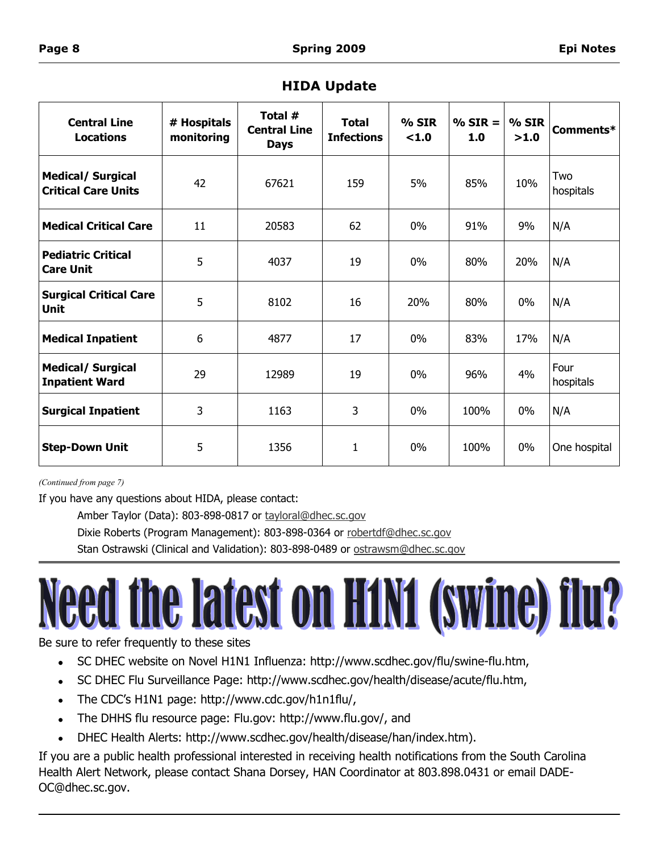| <b>Central Line</b><br><b>Locations</b>                | # Hospitals<br>monitoring | Total #<br><b>Central Line</b><br><b>Days</b> | <b>Total</b><br><b>Infections</b> | % SIR<br>< 1.0 | $% SIR =$<br>1.0 | $%$ SIR<br>>1.0 | Comments*         |
|--------------------------------------------------------|---------------------------|-----------------------------------------------|-----------------------------------|----------------|------------------|-----------------|-------------------|
| <b>Medical/ Surgical</b><br><b>Critical Care Units</b> | 42                        | 67621                                         | 159                               | 5%             | 85%              | 10%             | Two<br>hospitals  |
| <b>Medical Critical Care</b>                           | 11                        | 20583                                         | 62                                | $0\%$          | 91%              | 9%              | N/A               |
| <b>Pediatric Critical</b><br><b>Care Unit</b>          | 5                         | 4037                                          | 19                                | $0\%$          | 80%              | 20%             | N/A               |
| <b>Surgical Critical Care</b><br>Unit                  | 5                         | 8102                                          | 16                                | 20%            | 80%              | $0\%$           | N/A               |
| <b>Medical Inpatient</b>                               | 6                         | 4877                                          | 17                                | $0\%$          | 83%              | 17%             | N/A               |
| <b>Medical/ Surgical</b><br><b>Inpatient Ward</b>      | 29                        | 12989                                         | 19                                | $0\%$          | 96%              | 4%              | Four<br>hospitals |
| <b>Surgical Inpatient</b>                              | 3                         | 1163                                          | 3                                 | $0\%$          | 100%             | $0\%$           | N/A               |
| <b>Step-Down Unit</b>                                  | 5                         | 1356                                          | 1                                 | $0\%$          | 100%             | $0\%$           | One hospital      |

# **HIDA Update**

*(Continued from page 7)*

If you have any questions about HIDA, please contact:

Amber Taylor (Data): 803-898-0817 or [tayloral@dhec.sc.gov](mailto:tayloral@dhec.sc.gov)

Dixie Roberts (Program Management): 803-898-0364 or [robertdf@dhec.sc.gov](mailto:robertdf@dhec.sc.gov)

Stan Ostrawski (Clinical and Validation): 803-898-0489 or ostrawsm@dhec.sc.gov

# I the latest on H1N1 (swine) flu?

Be sure to refer frequently to these sites

- SC DHEC website on Novel H1N1 Influenza: http://www.scdhec.gov/flu/swine-flu.htm,  $\bullet$
- SC DHEC Flu Surveillance Page: http://www.scdhec.gov/health/disease/acute/flu.htm,  $\bullet$
- The CDC's H1N1 page: http://www.cdc.gov/h1n1flu/,  $\bullet$
- The DHHS flu resource page: Flu.gov: http://www.flu.gov/, and  $\bullet$
- DHEC Health Alerts: http://www.scdhec.gov/health/disease/han/index.htm).  $\bullet$

If you are a public health professional interested in receiving health notifications from the South Carolina Health Alert Network, please contact Shana Dorsey, HAN Coordinator at 803.898.0431 or email DADE-OC@dhec.sc.gov.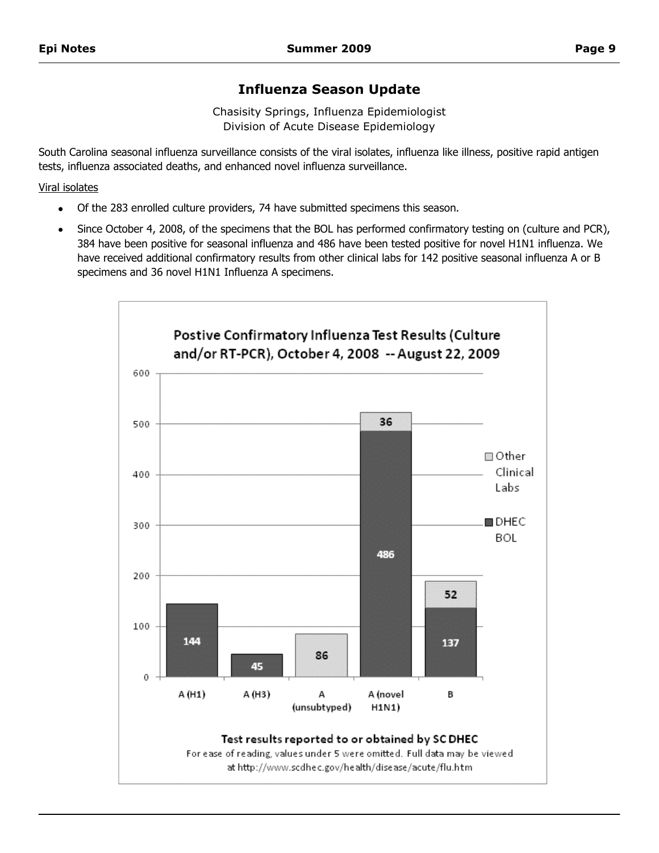# **Influenza Season Update**

Chasisity Springs, Influenza Epidemiologist Division of Acute Disease Epidemiology

South Carolina seasonal influenza surveillance consists of the viral isolates, influenza like illness, positive rapid antigen tests, influenza associated deaths, and enhanced novel influenza surveillance.

Viral isolates

- Of the 283 enrolled culture providers, 74 have submitted specimens this season.
- Since October 4, 2008, of the specimens that the BOL has performed confirmatory testing on (culture and PCR), 384 have been positive for seasonal influenza and 486 have been tested positive for novel H1N1 influenza. We have received additional confirmatory results from other clinical labs for 142 positive seasonal influenza A or B specimens and 36 novel H1N1 Influenza A specimens.

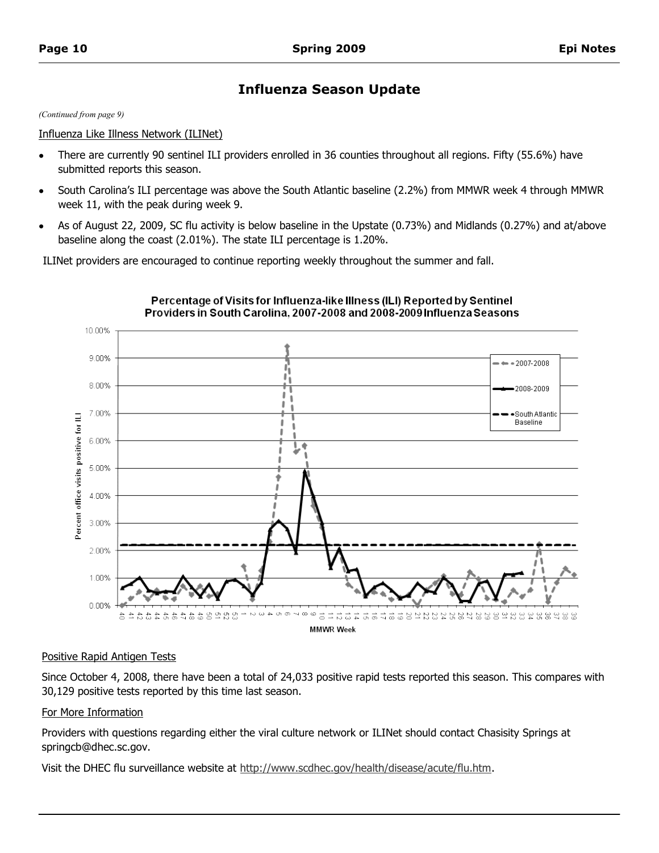# **Influenza Season Update**

*(Continued from page 9)*

#### Influenza Like Illness Network (ILINet)

- There are currently 90 sentinel ILI providers enrolled in 36 counties throughout all regions. Fifty (55.6%) have  $\bullet$ submitted reports this season.
- South Carolina's ILI percentage was above the South Atlantic baseline (2.2%) from MMWR week 4 through MMWR week 11, with the peak during week 9.
- As of August 22, 2009, SC flu activity is below baseline in the Upstate (0.73%) and Midlands (0.27%) and at/above  $\bullet$ baseline along the coast (2.01%). The state ILI percentage is 1.20%.

ILINet providers are encouraged to continue reporting weekly throughout the summer and fall.



#### Percentage of Visits for Influenza-like Illness (ILI) Reported by Sentinel Providers in South Carolina, 2007-2008 and 2008-2009 Influenza Seasons

#### Positive Rapid Antigen Tests

Since October 4, 2008, there have been a total of 24,033 positive rapid tests reported this season. This compares with 30,129 positive tests reported by this time last season.

#### For More Information

Providers with questions regarding either the viral culture network or ILINet should contact Chasisity Springs at springcb@dhec.sc.gov.

Visit the DHEC flu surveillance website at [http://www.scdhec.gov/health/disease/acute/flu.htm.](http://www.scdhec.gov/health/disease/acute/flu.htm)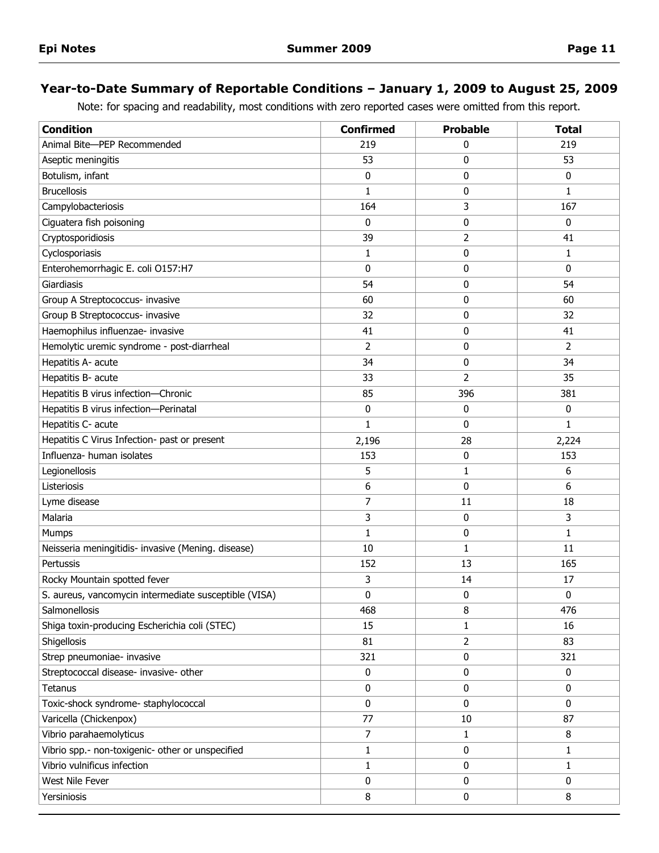# **Year-to-Date Summary of Reportable Conditions – January 1, 2009 to August 25, 2009**

Note: for spacing and readability, most conditions with zero reported cases were omitted from this report.

| <b>Condition</b>                                      | <b>Confirmed</b> | <b>Probable</b> | <b>Total</b> |
|-------------------------------------------------------|------------------|-----------------|--------------|
| Animal Bite-PEP Recommended                           | 219              | 0               | 219          |
| Aseptic meningitis                                    | 53               | 0               | 53           |
| Botulism, infant                                      | 0                | 0               | 0            |
| <b>Brucellosis</b>                                    | 1                | 0               | 1            |
| Campylobacteriosis                                    | 164              | 3               | 167          |
| Ciguatera fish poisoning                              | 0                | 0               | 0            |
| Cryptosporidiosis                                     | 39               | 2               | 41           |
| Cyclosporiasis                                        | 1                | 0               | 1            |
| Enterohemorrhagic E. coli O157:H7                     | 0                | 0               | 0            |
| Giardiasis                                            | 54               | 0               | 54           |
| Group A Streptococcus- invasive                       | 60               | 0               | 60           |
| Group B Streptococcus- invasive                       | 32               | 0               | 32           |
| Haemophilus influenzae- invasive                      | 41               | 0               | 41           |
| Hemolytic uremic syndrome - post-diarrheal            | 2                | 0               | 2            |
| Hepatitis A- acute                                    | 34               | 0               | 34           |
| Hepatitis B- acute                                    | 33               | $\overline{2}$  | 35           |
| Hepatitis B virus infection-Chronic                   | 85               | 396             | 381          |
| Hepatitis B virus infection-Perinatal                 | 0                | 0               | 0            |
| Hepatitis C- acute                                    | 1                | 0               | 1            |
| Hepatitis C Virus Infection- past or present          | 2,196            | 28              | 2,224        |
| Influenza- human isolates                             | 153              | 0               | 153          |
| Legionellosis                                         | 5                | 1               | 6            |
| Listeriosis                                           | 6                | 0               | 6            |
| Lyme disease                                          | 7                | 11              | 18           |
| Malaria                                               | 3                | 0               | 3            |
| Mumps                                                 | 1                | 0               | 1            |
| Neisseria meningitidis- invasive (Mening. disease)    | 10               | 1               | 11           |
| Pertussis                                             | 152              | 13              | 165          |
| Rocky Mountain spotted fever                          | 3                | 14              | 17           |
| S. aureus, vancomycin intermediate susceptible (VISA) | 0                | 0               | 0            |
| Salmonellosis                                         | 468              | 8               | 476          |
| Shiga toxin-producing Escherichia coli (STEC)         | 15               | 1               | 16           |
| Shigellosis                                           | 81               | 2               | 83           |
| Strep pneumoniae- invasive                            | 321              | 0               | 321          |
| Streptococcal disease- invasive- other                | 0                | 0               | 0            |
| Tetanus                                               | 0                | $\mathbf 0$     | 0            |
| Toxic-shock syndrome- staphylococcal                  | 0                | $\mathbf{0}$    | 0            |
| Varicella (Chickenpox)                                | 77               | 10              | 87           |
| Vibrio parahaemolyticus                               | 7                | 1               | 8            |
| Vibrio spp.- non-toxigenic- other or unspecified      | 1                | 0               | 1            |
| Vibrio vulnificus infection                           | $\mathbf{1}$     | 0               | $\mathbf{1}$ |
| West Nile Fever                                       | 0                | $\mathbf 0$     | 0            |
| Yersiniosis                                           | 8                | 0               | 8            |